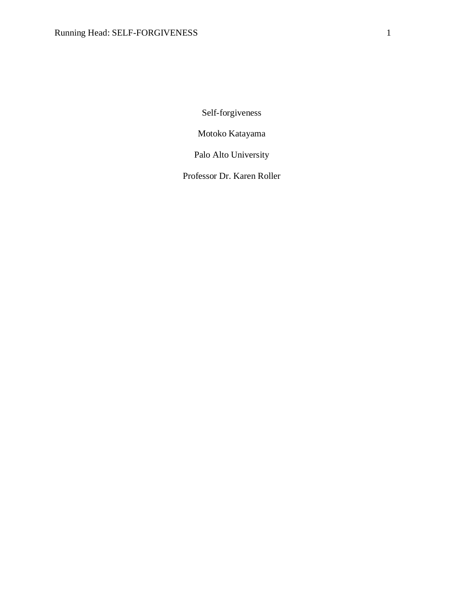Self-forgiveness

Motoko Katayama

Palo Alto University

Professor Dr. Karen Roller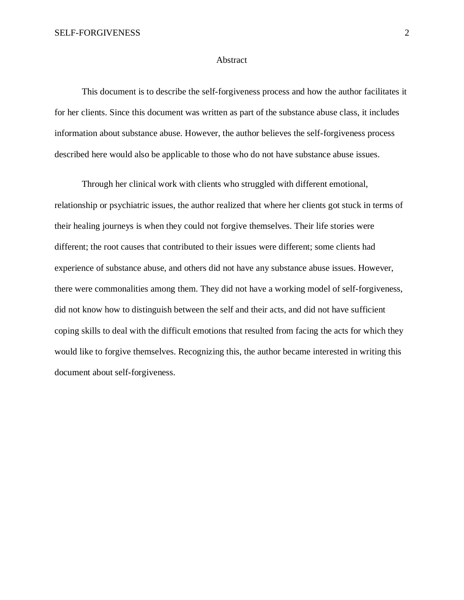### **Abstract**

This document is to describe the self-forgiveness process and how the author facilitates it for her clients. Since this document was written as part of the substance abuse class, it includes information about substance abuse. However, the author believes the self-forgiveness process described here would also be applicable to those who do not have substance abuse issues.

Through her clinical work with clients who struggled with different emotional, relationship or psychiatric issues, the author realized that where her clients got stuck in terms of their healing journeys is when they could not forgive themselves. Their life stories were different; the root causes that contributed to their issues were different; some clients had experience of substance abuse, and others did not have any substance abuse issues. However, there were commonalities among them. They did not have a working model of self-forgiveness, did not know how to distinguish between the self and their acts, and did not have sufficient coping skills to deal with the difficult emotions that resulted from facing the acts for which they would like to forgive themselves. Recognizing this, the author became interested in writing this document about self-forgiveness.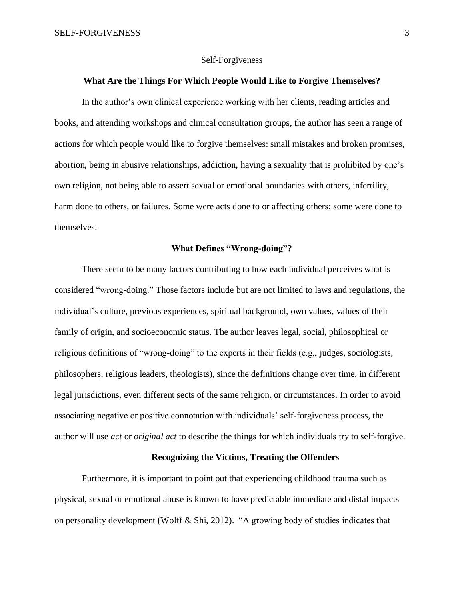#### Self-Forgiveness

# **What Are the Things For Which People Would Like to Forgive Themselves?**

In the author's own clinical experience working with her clients, reading articles and books, and attending workshops and clinical consultation groups, the author has seen a range of actions for which people would like to forgive themselves: small mistakes and broken promises, abortion, being in abusive relationships, addiction, having a sexuality that is prohibited by one's own religion, not being able to assert sexual or emotional boundaries with others, infertility, harm done to others, or failures. Some were acts done to or affecting others; some were done to themselves.

## **What Defines "Wrong-doing"?**

There seem to be many factors contributing to how each individual perceives what is considered "wrong-doing." Those factors include but are not limited to laws and regulations, the individual's culture, previous experiences, spiritual background, own values, values of their family of origin, and socioeconomic status. The author leaves legal, social, philosophical or religious definitions of "wrong-doing" to the experts in their fields (e.g., judges, sociologists, philosophers, religious leaders, theologists), since the definitions change over time, in different legal jurisdictions, even different sects of the same religion, or circumstances. In order to avoid associating negative or positive connotation with individuals' self-forgiveness process, the author will use *act* or *original act* to describe the things for which individuals try to self-forgive.

# **Recognizing the Victims, Treating the Offenders**

Furthermore, it is important to point out that experiencing childhood trauma such as physical, sexual or emotional abuse is known to have predictable immediate and distal impacts on personality development (Wolff & Shi, 2012). "A growing body of studies indicates that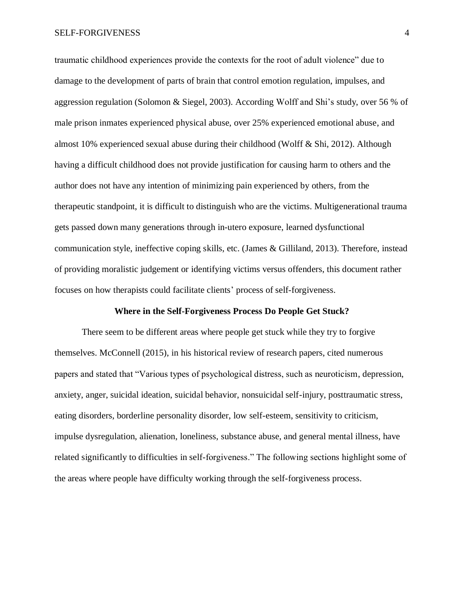### SELF-FORGIVENESS 4

traumatic childhood experiences provide the contexts for the root of adult violence" due to damage to the development of parts of brain that control emotion regulation, impulses, and aggression regulation (Solomon & Siegel, 2003). According Wolff and Shi's study, over 56 % of male prison inmates experienced physical abuse, over 25% experienced emotional abuse, and almost 10% experienced sexual abuse during their childhood (Wolff & Shi, 2012). Although having a difficult childhood does not provide justification for causing harm to others and the author does not have any intention of minimizing pain experienced by others, from the therapeutic standpoint, it is difficult to distinguish who are the victims. Multigenerational trauma gets passed down many generations through in-utero exposure, learned dysfunctional communication style, ineffective coping skills, etc. (James & Gilliland, 2013). Therefore, instead of providing moralistic judgement or identifying victims versus offenders, this document rather focuses on how therapists could facilitate clients' process of self-forgiveness.

### **Where in the Self-Forgiveness Process Do People Get Stuck?**

There seem to be different areas where people get stuck while they try to forgive themselves. McConnell (2015), in his historical review of research papers, cited numerous papers and stated that "Various types of psychological distress, such as neuroticism, depression, anxiety, anger, suicidal ideation, suicidal behavior, nonsuicidal self-injury, posttraumatic stress, eating disorders, borderline personality disorder, low self-esteem, sensitivity to criticism, impulse dysregulation, alienation, loneliness, substance abuse, and general mental illness, have related significantly to difficulties in self-forgiveness." The following sections highlight some of the areas where people have difficulty working through the self-forgiveness process.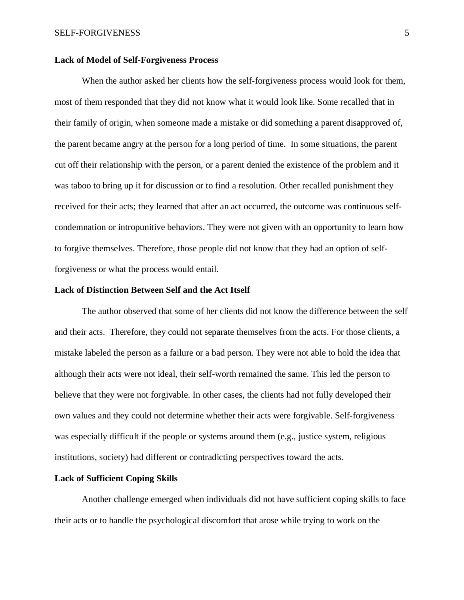### SELF-FORGIVENESS 5

# **Lack of Model of Self-Forgiveness Process**

When the author asked her clients how the self-forgiveness process would look for them, most of them responded that they did not know what it would look like. Some recalled that in their family of origin, when someone made a mistake or did something a parent disapproved of, the parent became angry at the person for a long period of time. In some situations, the parent cut off their relationship with the person, or a parent denied the existence of the problem and it was taboo to bring up it for discussion or to find a resolution. Other recalled punishment they received for their acts; they learned that after an act occurred, the outcome was continuous selfcondemnation or intropunitive behaviors. They were not given with an opportunity to learn how to forgive themselves. Therefore, those people did not know that they had an option of selfforgiveness or what the process would entail.

# **Lack of Distinction Between Self and the Act Itself**

The author observed that some of her clients did not know the difference between the self and their acts. Therefore, they could not separate themselves from the acts. For those clients, a mistake labeled the person as a failure or a bad person. They were not able to hold the idea that although their acts were not ideal, their self-worth remained the same. This led the person to believe that they were not forgivable. In other cases, the clients had not fully developed their own values and they could not determine whether their acts were forgivable. Self-forgiveness was especially difficult if the people or systems around them (e.g., justice system, religious institutions, society) had different or contradicting perspectives toward the acts.

### **Lack of Sufficient Coping Skills**

Another challenge emerged when individuals did not have sufficient coping skills to face their acts or to handle the psychological discomfort that arose while trying to work on the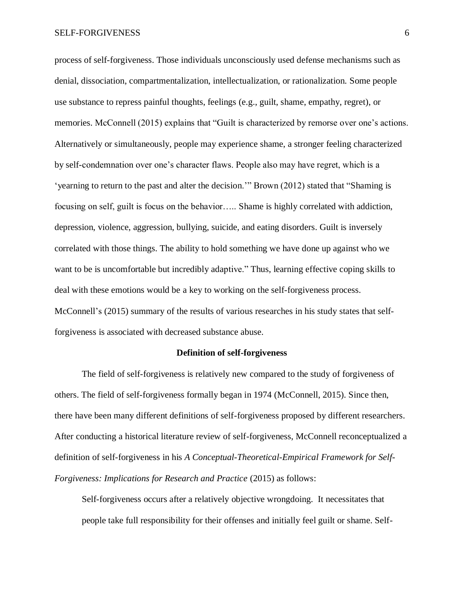process of self-forgiveness. Those individuals unconsciously used defense mechanisms such as denial, dissociation, compartmentalization, intellectualization, or rationalization. Some people use substance to repress painful thoughts, feelings (e.g., guilt, shame, empathy, regret), or memories. McConnell (2015) explains that "Guilt is characterized by remorse over one's actions. Alternatively or simultaneously, people may experience shame, a stronger feeling characterized by self-condemnation over one's character flaws. People also may have regret, which is a 'yearning to return to the past and alter the decision.'" Brown (2012) stated that "Shaming is focusing on self, guilt is focus on the behavior….. Shame is highly correlated with addiction, depression, violence, aggression, bullying, suicide, and eating disorders. Guilt is inversely correlated with those things. The ability to hold something we have done up against who we want to be is uncomfortable but incredibly adaptive." Thus, learning effective coping skills to deal with these emotions would be a key to working on the self-forgiveness process. McConnell's (2015) summary of the results of various researches in his study states that selfforgiveness is associated with decreased substance abuse.

### **Definition of self-forgiveness**

The field of self-forgiveness is relatively new compared to the study of forgiveness of others. The field of self-forgiveness formally began in 1974 (McConnell, 2015). Since then, there have been many different definitions of self-forgiveness proposed by different researchers. After conducting a historical literature review of self-forgiveness, McConnell reconceptualized a definition of self-forgiveness in his *A Conceptual-Theoretical-Empirical Framework for Self-Forgiveness: Implications for Research and Practice* (2015) as follows:

Self-forgiveness occurs after a relatively objective wrongdoing. It necessitates that people take full responsibility for their offenses and initially feel guilt or shame. Self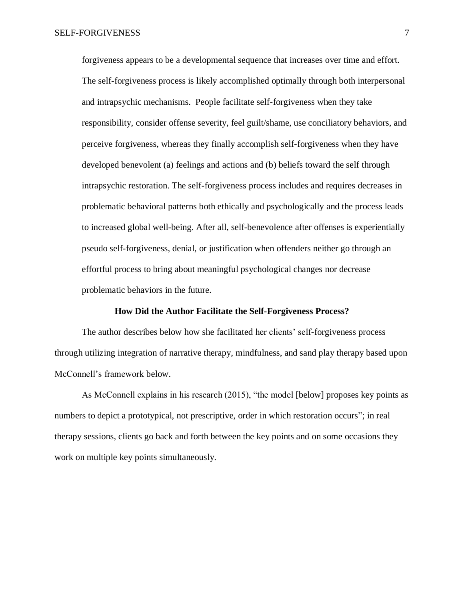forgiveness appears to be a developmental sequence that increases over time and effort. The self-forgiveness process is likely accomplished optimally through both interpersonal and intrapsychic mechanisms. People facilitate self-forgiveness when they take responsibility, consider offense severity, feel guilt/shame, use conciliatory behaviors, and perceive forgiveness, whereas they finally accomplish self-forgiveness when they have developed benevolent (a) feelings and actions and (b) beliefs toward the self through intrapsychic restoration. The self-forgiveness process includes and requires decreases in problematic behavioral patterns both ethically and psychologically and the process leads to increased global well-being. After all, self-benevolence after offenses is experientially pseudo self-forgiveness, denial, or justification when offenders neither go through an effortful process to bring about meaningful psychological changes nor decrease problematic behaviors in the future.

## **How Did the Author Facilitate the Self-Forgiveness Process?**

The author describes below how she facilitated her clients' self-forgiveness process through utilizing integration of narrative therapy, mindfulness, and sand play therapy based upon McConnell's framework below.

As McConnell explains in his research (2015), "the model [below] proposes key points as numbers to depict a prototypical, not prescriptive, order in which restoration occurs"; in real therapy sessions, clients go back and forth between the key points and on some occasions they work on multiple key points simultaneously.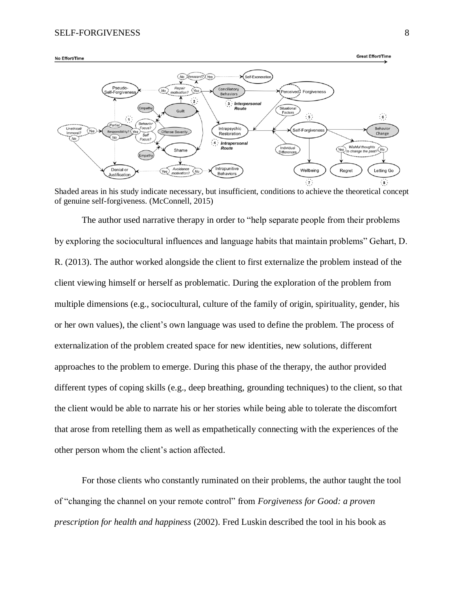

Shaded areas in his study indicate necessary, but insufficient, conditions to achieve the theoretical concept of genuine self-forgiveness. (McConnell, 2015)

The author used narrative therapy in order to "help separate people from their problems by exploring the sociocultural influences and language habits that maintain problems" Gehart, D. R. (2013). The author worked alongside the client to first externalize the problem instead of the client viewing himself or herself as problematic. During the exploration of the problem from multiple dimensions (e.g., sociocultural, culture of the family of origin, spirituality, gender, his or her own values), the client's own language was used to define the problem. The process of externalization of the problem created space for new identities, new solutions, different approaches to the problem to emerge. During this phase of the therapy, the author provided different types of coping skills (e.g., deep breathing, grounding techniques) to the client, so that the client would be able to narrate his or her stories while being able to tolerate the discomfort that arose from retelling them as well as empathetically connecting with the experiences of the other person whom the client's action affected.

For those clients who constantly ruminated on their problems, the author taught the tool of "changing the channel on your remote control" from *Forgiveness for Good: a proven prescription for health and happiness* (2002). Fred Luskin described the tool in his book as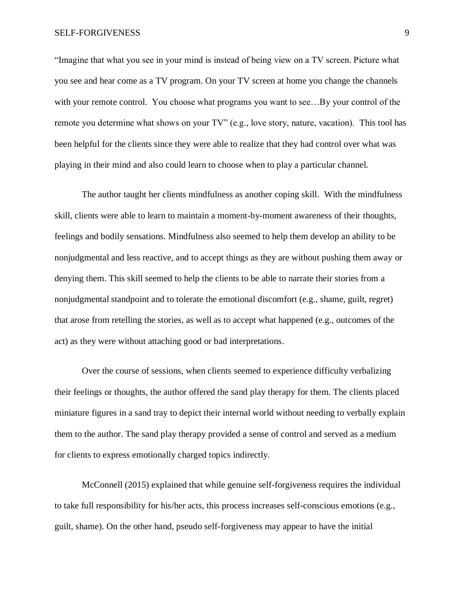### SELF-FORGIVENESS 9

"Imagine that what you see in your mind is instead of being view on a TV screen. Picture what you see and hear come as a TV program. On your TV screen at home you change the channels with your remote control. You choose what programs you want to see…By your control of the remote you determine what shows on your TV" (e.g., love story, nature, vacation). This tool has been helpful for the clients since they were able to realize that they had control over what was playing in their mind and also could learn to choose when to play a particular channel.

The author taught her clients mindfulness as another coping skill. With the mindfulness skill, clients were able to learn to maintain a moment-by-moment awareness of their thoughts, feelings and bodily sensations. Mindfulness also seemed to help them develop an ability to be nonjudgmental and less reactive, and to accept things as they are without pushing them away or denying them. This skill seemed to help the clients to be able to narrate their stories from a nonjudgmental standpoint and to tolerate the emotional discomfort (e.g., shame, guilt, regret) that arose from retelling the stories, as well as to accept what happened (e.g., outcomes of the act) as they were without attaching good or bad interpretations.

Over the course of sessions, when clients seemed to experience difficulty verbalizing their feelings or thoughts, the author offered the sand play therapy for them. The clients placed miniature figures in a sand tray to depict their internal world without needing to verbally explain them to the author. The sand play therapy provided a sense of control and served as a medium for clients to express emotionally charged topics indirectly.

McConnell (2015) explained that while genuine self-forgiveness requires the individual to take full responsibility for his/her acts, this process increases self-conscious emotions (e.g., guilt, shame). On the other hand, pseudo self-forgiveness may appear to have the initial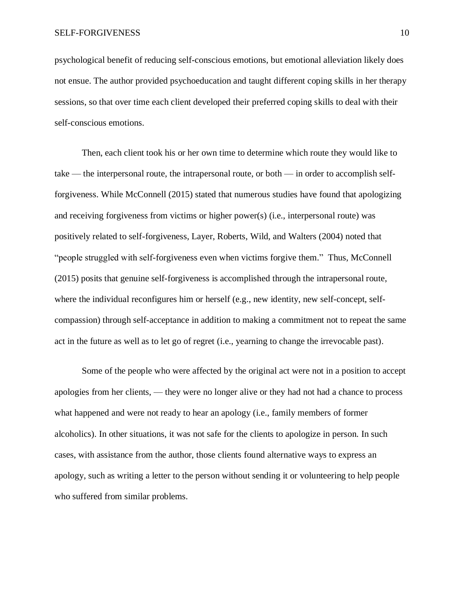psychological benefit of reducing self-conscious emotions, but emotional alleviation likely does not ensue. The author provided psychoeducation and taught different coping skills in her therapy sessions, so that over time each client developed their preferred coping skills to deal with their self-conscious emotions.

Then, each client took his or her own time to determine which route they would like to take — the interpersonal route, the intrapersonal route, or both — in order to accomplish selfforgiveness. While McConnell (2015) stated that numerous studies have found that apologizing and receiving forgiveness from victims or higher power(s) (i.e., interpersonal route) was positively related to self-forgiveness, Layer, Roberts, Wild, and Walters (2004) noted that "people struggled with self-forgiveness even when victims forgive them." Thus, McConnell (2015) posits that genuine self-forgiveness is accomplished through the intrapersonal route, where the individual reconfigures him or herself (e.g., new identity, new self-concept, selfcompassion) through self-acceptance in addition to making a commitment not to repeat the same act in the future as well as to let go of regret (i.e., yearning to change the irrevocable past).

Some of the people who were affected by the original act were not in a position to accept apologies from her clients, — they were no longer alive or they had not had a chance to process what happened and were not ready to hear an apology (i.e., family members of former alcoholics). In other situations, it was not safe for the clients to apologize in person. In such cases, with assistance from the author, those clients found alternative ways to express an apology, such as writing a letter to the person without sending it or volunteering to help people who suffered from similar problems.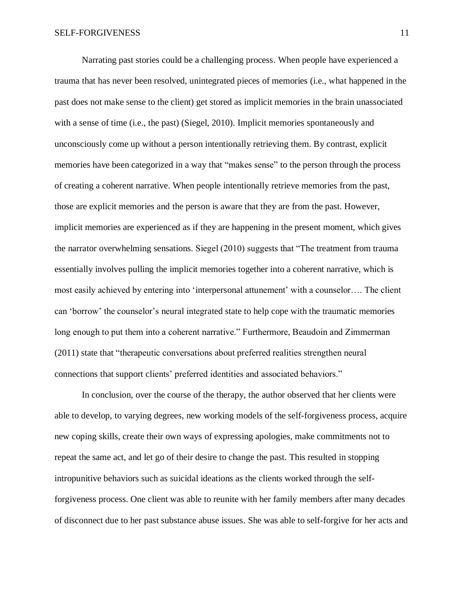Narrating past stories could be a challenging process. When people have experienced a trauma that has never been resolved, unintegrated pieces of memories (i.e., what happened in the past does not make sense to the client) get stored as implicit memories in the brain unassociated with a sense of time (i.e., the past) (Siegel, 2010). Implicit memories spontaneously and unconsciously come up without a person intentionally retrieving them. By contrast, explicit memories have been categorized in a way that "makes sense" to the person through the process of creating a coherent narrative. When people intentionally retrieve memories from the past, those are explicit memories and the person is aware that they are from the past. However, implicit memories are experienced as if they are happening in the present moment, which gives the narrator overwhelming sensations. Siegel (2010) suggests that "The treatment from trauma essentially involves pulling the implicit memories together into a coherent narrative, which is most easily achieved by entering into 'interpersonal attunement' with a counselor…. The client can 'borrow' the counselor's neural integrated state to help cope with the traumatic memories long enough to put them into a coherent narrative." Furthermore, Beaudoin and Zimmerman (2011) state that "therapeutic conversations about preferred realities strengthen neural connections that support clients' preferred identities and associated behaviors."

In conclusion, over the course of the therapy, the author observed that her clients were able to develop, to varying degrees, new working models of the self-forgiveness process, acquire new coping skills, create their own ways of expressing apologies, make commitments not to repeat the same act, and let go of their desire to change the past. This resulted in stopping intropunitive behaviors such as suicidal ideations as the clients worked through the selfforgiveness process. One client was able to reunite with her family members after many decades of disconnect due to her past substance abuse issues. She was able to self-forgive for her acts and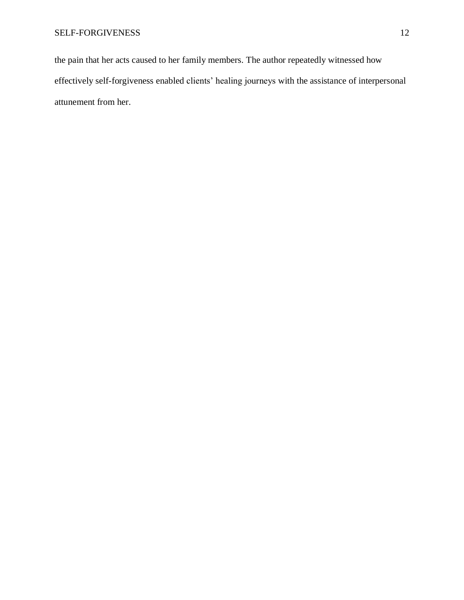the pain that her acts caused to her family members. The author repeatedly witnessed how effectively self-forgiveness enabled clients' healing journeys with the assistance of interpersonal attunement from her.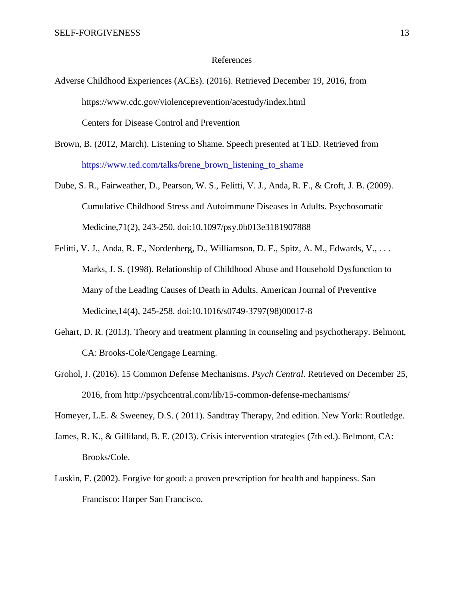## References

Adverse Childhood Experiences (ACEs). (2016). Retrieved December 19, 2016, from https://www.cdc.gov/violenceprevention/acestudy/index.html Centers for Disease Control and Prevention

- Brown, B. (2012, March). Listening to Shame. Speech presented at TED. Retrieved from [https://www.ted.com/talks/brene\\_brown\\_listening\\_to\\_shame](https://www.ted.com/talks/brene_brown_listening_to_shame)
- Dube, S. R., Fairweather, D., Pearson, W. S., Felitti, V. J., Anda, R. F., & Croft, J. B. (2009). Cumulative Childhood Stress and Autoimmune Diseases in Adults. Psychosomatic Medicine,71(2), 243-250. doi:10.1097/psy.0b013e3181907888
- Felitti, V. J., Anda, R. F., Nordenberg, D., Williamson, D. F., Spitz, A. M., Edwards, V., . . . Marks, J. S. (1998). Relationship of Childhood Abuse and Household Dysfunction to Many of the Leading Causes of Death in Adults. American Journal of Preventive Medicine,14(4), 245-258. doi:10.1016/s0749-3797(98)00017-8
- Gehart, D. R. (2013). Theory and treatment planning in counseling and psychotherapy. Belmont, CA: Brooks-Cole/Cengage Learning.
- Grohol, J. (2016). 15 Common Defense Mechanisms. *Psych Central*. Retrieved on December 25, 2016, from http://psychcentral.com/lib/15-common-defense-mechanisms/
- Homeyer, L.E. & Sweeney, D.S. ( 2011). Sandtray Therapy, 2nd edition. New York: Routledge.
- James, R. K., & Gilliland, B. E. (2013). Crisis intervention strategies (7th ed.). Belmont, CA: Brooks/Cole.
- Luskin, F. (2002). Forgive for good: a proven prescription for health and happiness. San Francisco: Harper San Francisco.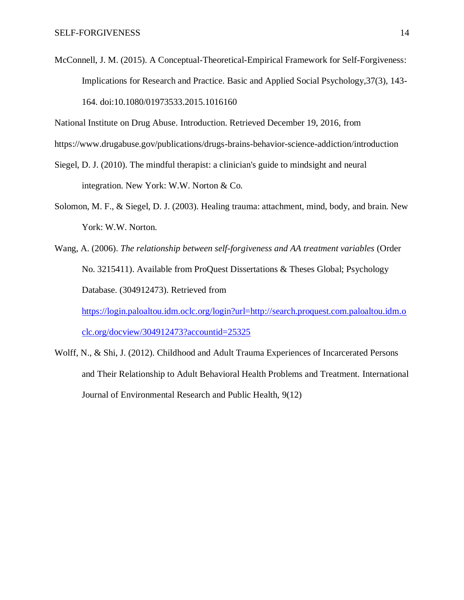McConnell, J. M. (2015). A Conceptual-Theoretical-Empirical Framework for Self-Forgiveness: Implications for Research and Practice. Basic and Applied Social Psychology,37(3), 143- 164. doi:10.1080/01973533.2015.1016160

National Institute on Drug Abuse. Introduction. Retrieved December 19, 2016, from

https://www.drugabuse.gov/publications/drugs-brains-behavior-science-addiction/introduction

- Siegel, D. J. (2010). The mindful therapist: a clinician's guide to mindsight and neural integration. New York: W.W. Norton & Co.
- Solomon, M. F., & Siegel, D. J. (2003). Healing trauma: attachment, mind, body, and brain. New York: W.W. Norton.
- Wang, A. (2006). *The relationship between self-forgiveness and AA treatment variables* (Order No. 3215411). Available from ProQuest Dissertations & Theses Global; Psychology Database. (304912473). Retrieved from [https://login.paloaltou.idm.oclc.org/login?url=http://search.proquest.com.paloaltou.idm.o](https://login.paloaltou.idm.oclc.org/login?url=http://search.proquest.com.paloaltou.idm.oclc.org/docview/304912473?accountid=25325)

[clc.org/docview/304912473?accountid=25325](https://login.paloaltou.idm.oclc.org/login?url=http://search.proquest.com.paloaltou.idm.oclc.org/docview/304912473?accountid=25325)

Wolff, N., & Shi, J. (2012). Childhood and Adult Trauma Experiences of Incarcerated Persons and Their Relationship to Adult Behavioral Health Problems and Treatment. International Journal of Environmental Research and Public Health, 9(12)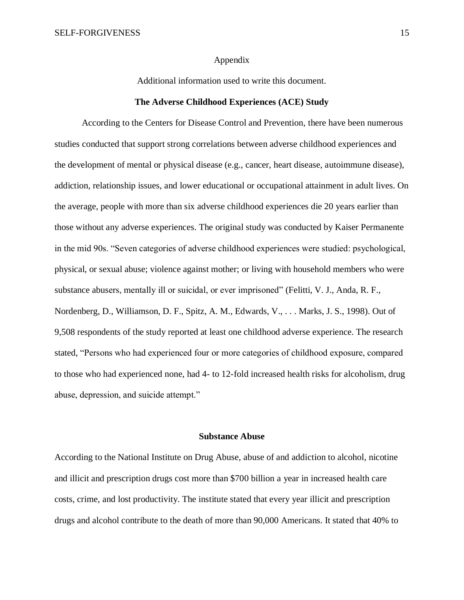#### Appendix

Additional information used to write this document.

## **The Adverse Childhood Experiences (ACE) Study**

According to the Centers for Disease Control and Prevention, there have been numerous studies conducted that support strong correlations between adverse childhood experiences and the development of mental or physical disease (e.g., cancer, heart disease, autoimmune disease), addiction, relationship issues, and lower educational or occupational attainment in adult lives. On the average, people with more than six adverse childhood experiences die 20 years earlier than those without any adverse experiences. The original study was conducted by Kaiser Permanente in the mid 90s. "Seven categories of adverse childhood experiences were studied: psychological, physical, or sexual abuse; violence against mother; or living with household members who were substance abusers, mentally ill or suicidal, or ever imprisoned" (Felitti, V. J., Anda, R. F., Nordenberg, D., Williamson, D. F., Spitz, A. M., Edwards, V., . . . Marks, J. S., 1998). Out of 9,508 respondents of the study reported at least one childhood adverse experience. The research stated, "Persons who had experienced four or more categories of childhood exposure, compared to those who had experienced none, had 4- to 12-fold increased health risks for alcoholism, drug abuse, depression, and suicide attempt."

### **Substance Abuse**

According to the National Institute on Drug Abuse, abuse of and addiction to alcohol, nicotine and illicit and prescription drugs cost more than \$700 billion a year in increased health care costs, crime, and lost productivity. The institute stated that every year illicit and prescription drugs and alcohol contribute to the death of more than 90,000 Americans. It stated that 40% to